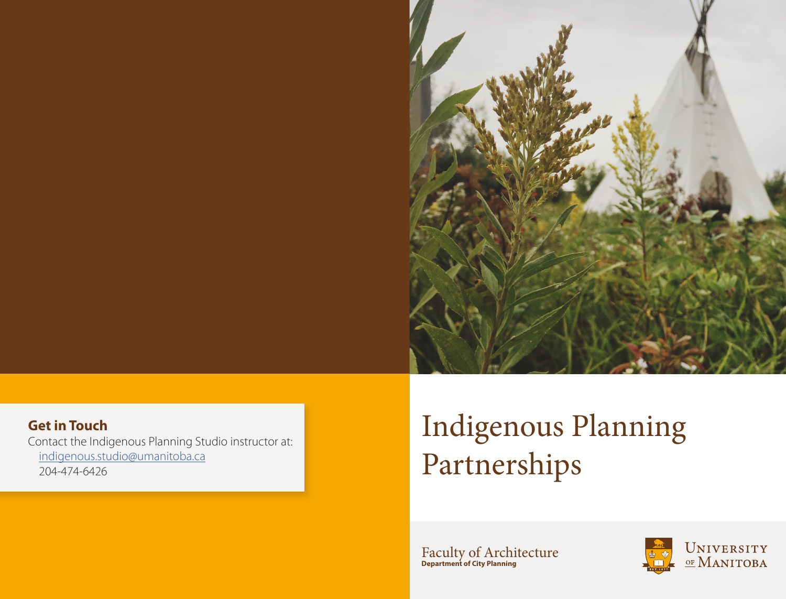

 [indigenous.studio@umanitoba.ca](mailto:indigenous.studio%40umanitoba.ca?subject=Indigenous%20Studio%20Partner%20Inquiry) 204-474-6426

# Indigenous Planning Partnerships

Faculty of Architecture **Department of City Planning**